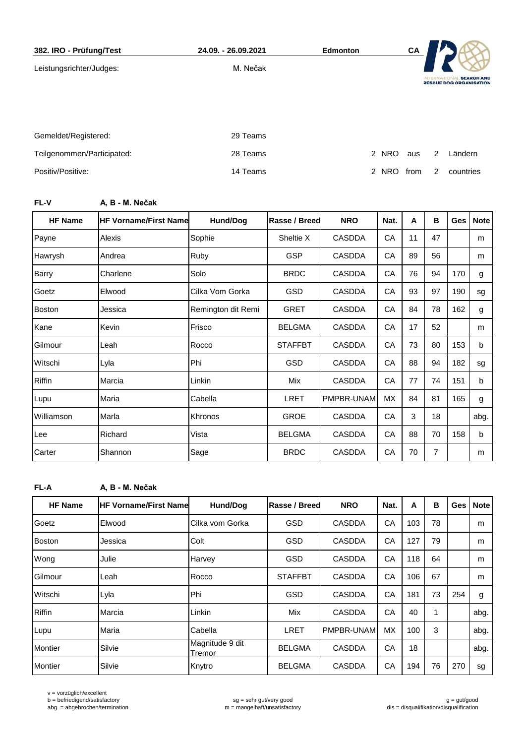| 382. IRO - Prüfung/Test    | 24.09. - 26.09.2021 | <b>Edmonton</b> | CA                 |                                                                        |  |
|----------------------------|---------------------|-----------------|--------------------|------------------------------------------------------------------------|--|
| Leistungsrichter/Judges:   | M. Nečak            |                 |                    | <b>SEARCH AND</b><br><b>INTERNAT</b><br><b>RESCUE DOG ORGANISATION</b> |  |
|                            |                     |                 |                    |                                                                        |  |
| Gemeldet/Registered:       | 29 Teams            |                 |                    |                                                                        |  |
| Teilgenommen/Participated: | 28 Teams            |                 | 2 NRO<br>aus       | Ländern<br>2                                                           |  |
| Positiv/Positive:          | 14 Teams            | $\mathcal{P}$   | <b>NRO</b><br>from | 2<br>countries                                                         |  |

## **FL-V A, B - M. Nečak**

| <b>HF Name</b> | <b>HF Vorname/First Name</b> | <b>Hund/Dog</b>    | <b>Rasse / Breed</b> | <b>NRO</b>    | Nat.      | A  | B  | Ges | <b>Note</b> |
|----------------|------------------------------|--------------------|----------------------|---------------|-----------|----|----|-----|-------------|
| Payne          | Alexis                       | Sophie             | Sheltie X            | <b>CASDDA</b> | CA        | 11 | 47 |     | m           |
| Hawrysh        | Andrea                       | Ruby               | <b>GSP</b>           | <b>CASDDA</b> | CA        | 89 | 56 |     | m           |
| Barry          | Charlene                     | Solo               | <b>BRDC</b>          | <b>CASDDA</b> | CA        | 76 | 94 | 170 | g           |
| Goetz          | Elwood                       | Cilka Vom Gorka    | <b>GSD</b>           | <b>CASDDA</b> | CA        | 93 | 97 | 190 | sg          |
| <b>Boston</b>  | Jessica                      | Remington dit Remi | <b>GRET</b>          | <b>CASDDA</b> | CA        | 84 | 78 | 162 | g           |
| Kane           | Kevin                        | Frisco             | <b>BELGMA</b>        | <b>CASDDA</b> | CA        | 17 | 52 |     | m           |
| Gilmour        | Leah                         | Rocco              | <b>STAFFBT</b>       | <b>CASDDA</b> | CA        | 73 | 80 | 153 | b           |
| Witschi        | Lyla                         | Phi                | GSD                  | <b>CASDDA</b> | CA        | 88 | 94 | 182 | sg          |
| <b>Riffin</b>  | Marcia                       | Linkin             | Mix                  | <b>CASDDA</b> | CA        | 77 | 74 | 151 | b           |
| Lupu           | Maria                        | Cabella            | <b>LRET</b>          | PMPBR-UNAM    | <b>MX</b> | 84 | 81 | 165 | g           |
| Williamson     | Marla                        | Khronos            | <b>GROE</b>          | <b>CASDDA</b> | CA        | 3  | 18 |     | abg.        |
| Lee            | Richard                      | Vista              | <b>BELGMA</b>        | <b>CASDDA</b> | CA        | 88 | 70 | 158 | b           |
| Carter         | Shannon                      | Sage               | <b>BRDC</b>          | <b>CASDDA</b> | CA        | 70 | 7  |     | m           |

**FL-A A, B - M. Nečak**

| <b>HF Name</b> | <b>HF Vorname/First Namel</b> | Hund/Dog                  | Rasse / Breed  | <b>NRO</b>    | Nat.      | A   | В  | Ges | <b>Note</b> |
|----------------|-------------------------------|---------------------------|----------------|---------------|-----------|-----|----|-----|-------------|
| Goetz          | Elwood                        | Cilka vom Gorka           | <b>GSD</b>     | <b>CASDDA</b> | CA        | 103 | 78 |     | m           |
| <b>Boston</b>  | Jessica                       | Colt                      | <b>GSD</b>     | <b>CASDDA</b> | CA        | 127 | 79 |     | m           |
| Wong           | Julie                         | Harvey                    | <b>GSD</b>     | <b>CASDDA</b> | CA        | 118 | 64 |     | m           |
| Gilmour        | Leah                          | Rocco                     | <b>STAFFBT</b> | <b>CASDDA</b> | CA        | 106 | 67 |     | m           |
| Witschi        | Lyla                          | Phi                       | <b>GSD</b>     | <b>CASDDA</b> | CA        | 181 | 73 | 254 | g           |
| <b>Riffin</b>  | Marcia                        | Linkin                    | Mix            | <b>CASDDA</b> | CA        | 40  | 1  |     | abg.        |
| Lupu           | Maria                         | Cabella                   | LRET           | PMPBR-UNAM    | <b>MX</b> | 100 | 3  |     | abg.        |
| Montier        | Silvie                        | Magnitude 9 dit<br>Tremor | <b>BELGMA</b>  | <b>CASDDA</b> | CA        | 18  |    |     | abg.        |
| Montier        | Silvie                        | Knytro                    | <b>BELGMA</b>  | <b>CASDDA</b> | CA        | 194 | 76 | 270 | sg          |